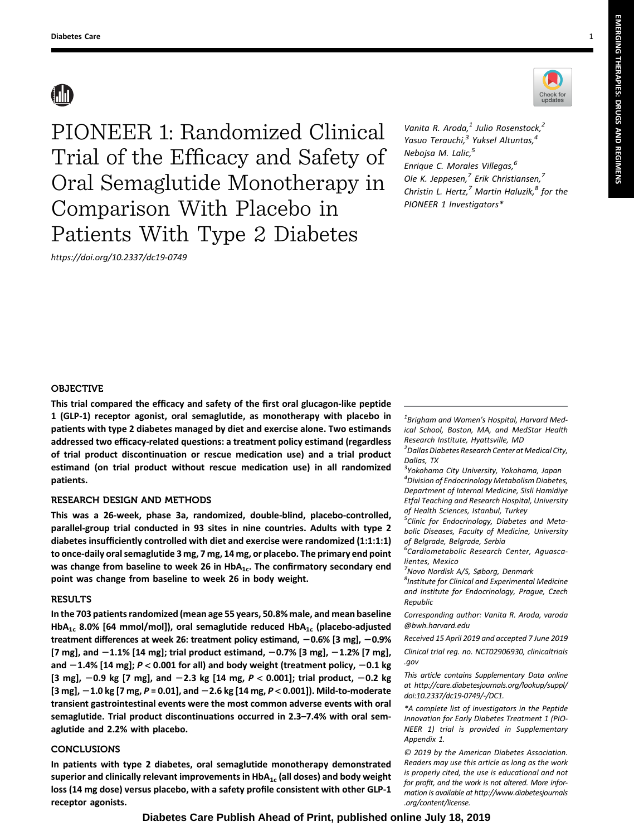# **AN**



<https://doi.org/10.2337/dc19-0749>



Vanita R. Aroda, $<sup>1</sup>$  Julio Rosenstock, $<sup>2</sup>$ </sup></sup> Yasuo Terauchi,<sup>3</sup> Yuksel Altuntas,<sup>4</sup> Nebojsa M. Lalic,<sup>5</sup> Enrique C. Morales Villegas,<sup>6</sup> Ole K. Jeppesen, $^7$  Erik Christiansen, $^7$ Christin L. Hertz, $^7$  Martin Haluzík, $^8$  for the PIONEER 1 Investigators\*

# OBJECTIVE

This trial compared the efficacy and safety of the first oral glucagon-like peptide 1 (GLP-1) receptor agonist, oral semaglutide, as monotherapy with placebo in patients with type 2 diabetes managed by diet and exercise alone. Two estimands addressed two efficacy-related questions: a treatment policy estimand (regardless of trial product discontinuation or rescue medication use) and a trial product estimand (on trial product without rescue medication use) in all randomized patients.

## RESEARCH DESIGN AND METHODS

This was a 26-week, phase 3a, randomized, double-blind, placebo-controlled, parallel-group trial conducted in 93 sites in nine countries. Adults with type 2 diabetes insufficiently controlled with diet and exercise were randomized (1:1:1:1) to once-daily oral semaglutide 3 mg, 7 mg, 14 mg, or placebo. The primary end point was change from baseline to week 26 in  $HbA_{1c}$ . The confirmatory secondary end point was change from baseline to week 26 in body weight.

## RESULTS

In the 703 patients randomized (mean age 55 years, 50.8% male, and mean baseline HbA<sub>1c</sub> 8.0% [64 mmol/mol]), oral semaglutide reduced HbA<sub>1c</sub> (placebo-adjusted treatment differences at week 26: treatment policy estimand,  $-0.6\%$  [3 mg],  $-0.9\%$  $[7 \text{ mg}]$ , and  $-1.1\%$   $[14 \text{ mg}]$ ; trial product estimand,  $-0.7\%$   $[3 \text{ mg}]$ ,  $-1.2\%$   $[7 \text{ mg}]$ , and  $-1.4\%$  [14 mg];  $P < 0.001$  for all) and body weight (treatment policy,  $-0.1$  kg [3 mg],  $-0.9$  kg [7 mg], and  $-2.3$  kg [14 mg,  $P < 0.001$ ]; trial product,  $-0.2$  kg  $[3 \text{ mg}]$ ,  $-1.0$  kg  $[7 \text{ mg}, P = 0.01]$ , and  $-2.6$  kg  $[14 \text{ mg}, P < 0.001]$ ). Mild-to-moderate transient gastrointestinal events were the most common adverse events with oral semaglutide. Trial product discontinuations occurred in 2.3–7.4% with oral semaglutide and 2.2% with placebo.

## CONCLUSIONS

In patients with type 2 diabetes, oral semaglutide monotherapy demonstrated superior and clinically relevant improvements in  $HbA_{1c}$  (all doses) and body weight loss (14 mg dose) versus placebo, with a safety profile consistent with other GLP-1 receptor agonists.

 ${}^{1}$ Brigham and Women's Hospital, Harvard Medical School, Boston, MA, and MedStar Health Research Institute, Hyattsville, MD

<sup>2</sup> Dallas Diabetes Research Center at Medical City, Dallas, TX

<sup>3</sup>Yokohama City University, Yokohama, Japan 4 Division of Endocrinology Metabolism Diabetes, Department of Internal Medicine, Sisli Hamidiye Etfal Teaching and Research Hospital, University of Health Sciences, Istanbul, Turkey

<sup>5</sup>Clinic for Endocrinology, Diabetes and Metabolic Diseases, Faculty of Medicine, University of Belgrade, Belgrade, Serbia

<sup>6</sup>Cardiometabolic Research Center, Aguascalientes, Mexico

<sup>7</sup>Novo Nordisk A/S, Søborg, Denmark

8 Institute for Clinical and Experimental Medicine and Institute for Endocrinology, Prague, Czech Republic

Corresponding author: Vanita R. Aroda, [varoda](mailto:varoda@bwh.harvard.edu) [@bwh.harvard.edu](mailto:varoda@bwh.harvard.edu)

Received 15 April 2019 and accepted 7 June 2019

Clinical trial reg. no. NCT02906930, clinicaltrials .gov

This article contains Supplementary Data online at [http://care.diabetesjournals.org/lookup/suppl/](http://care.diabetesjournals.org/lookup/suppl/doi:10.2337/dc19-0749/-/DC1) [doi:10.2337/dc19-0749/-/DC1](http://care.diabetesjournals.org/lookup/suppl/doi:10.2337/dc19-0749/-/DC1).

\*A complete list of investigators in the Peptide Innovation for Early Diabetes Treatment 1 (PIO-NEER 1) trial is provided in [Supplementary](http://care.diabetesjournals.org/lookup/suppl/doi:10.2337/dc19-0749/-/DC1) [Appendix 1.](http://care.diabetesjournals.org/lookup/suppl/doi:10.2337/dc19-0749/-/DC1)

© 2019 by the American Diabetes Association. Readers may use this article as long as the work is properly cited, the use is educational and not for profit, and the work is not altered. More information is available at [http://www.diabetesjournals](http://www.diabetesjournals.org/content/license) [.org/content/license.](http://www.diabetesjournals.org/content/license)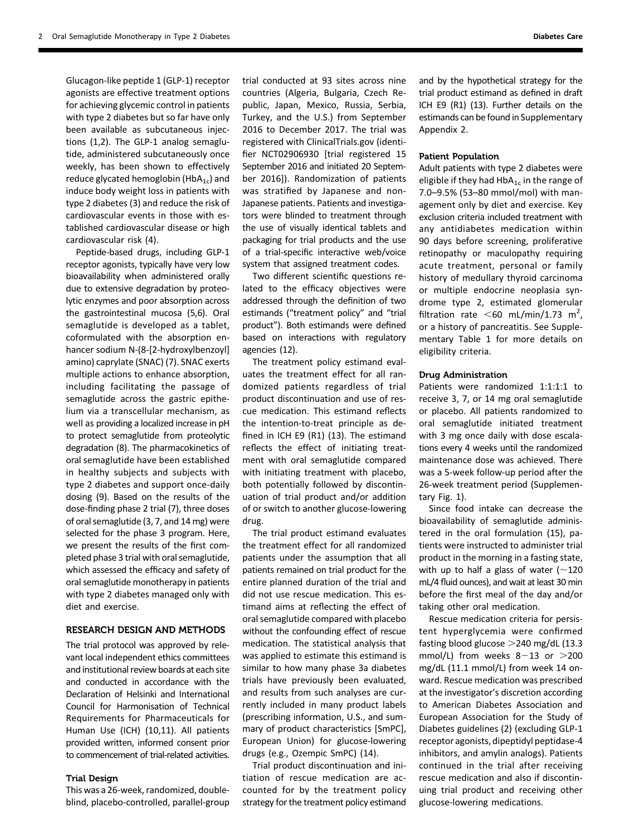Glucagon-like peptide 1 (GLP-1) receptor agonists are effective treatment options for achieving glycemic control in patients with type 2 diabetes but so far have only been available as subcutaneous injections (1,2). The GLP-1 analog semaglutide, administered subcutaneously once weekly, has been shown to effectively reduce glycated hemoglobin ( $HbA_{1c}$ ) and induce body weight loss in patients with type 2 diabetes (3) and reduce the risk of cardiovascular events in those with established cardiovascular disease or high cardiovascular risk (4).

Peptide-based drugs, including GLP-1 receptor agonists, typically have very low bioavailability when administered orally due to extensive degradation by proteolytic enzymes and poor absorption across the gastrointestinal mucosa (5,6). Oral semaglutide is developed as a tablet, coformulated with the absorption enhancer sodium N-(8-[2-hydroxylbenzoyl] amino) caprylate (SNAC) (7). SNAC exerts multiple actions to enhance absorption, including facilitating the passage of semaglutide across the gastric epithelium via a transcellular mechanism, as well as providing a localized increase in pH to protect semaglutide from proteolytic degradation (8). The pharmacokinetics of oral semaglutide have been established in healthy subjects and subjects with type 2 diabetes and support once-daily dosing (9). Based on the results of the dose-finding phase 2 trial (7), three doses of oral semaglutide (3, 7, and 14 mg) were selected for the phase 3 program. Here, we present the results of the first completed phase 3 trial with oral semaglutide, which assessed the efficacy and safety of oral semaglutide monotherapy in patients with type 2 diabetes managed only with diet and exercise.

# RESEARCH DESIGN AND METHODS

The trial protocol was approved by relevant local independent ethics committees and institutional review boards at each site and conducted in accordance with the Declaration of Helsinki and International Council for Harmonisation of Technical Requirements for Pharmaceuticals for Human Use (ICH) (10,11). All patients provided written, informed consent prior to commencement of trial-related activities.

#### Trial Design

This was a 26-week, randomized, doubleblind, placebo-controlled, parallel-group

trial conducted at 93 sites across nine countries (Algeria, Bulgaria, Czech Republic, Japan, Mexico, Russia, Serbia, Turkey, and the U.S.) from September 2016 to December 2017. The trial was registered with ClinicalTrials.gov (identifier NCT02906930 [trial registered 15 September 2016 and initiated 20 September 2016]). Randomization of patients was stratified by Japanese and non-Japanese patients. Patients and investigators were blinded to treatment through the use of visually identical tablets and packaging for trial products and the use of a trial-specific interactive web/voice system that assigned treatment codes.

Two different scientific questions related to the efficacy objectives were addressed through the definition of two estimands ("treatment policy" and "trial product"). Both estimands were defined based on interactions with regulatory agencies (12).

The treatment policy estimand evaluates the treatment effect for all randomized patients regardless of trial product discontinuation and use of rescue medication. This estimand reflects the intention-to-treat principle as defined in ICH E9 (R1) (13). The estimand reflects the effect of initiating treatment with oral semaglutide compared with initiating treatment with placebo, both potentially followed by discontinuation of trial product and/or addition of or switch to another glucose-lowering drug.

The trial product estimand evaluates the treatment effect for all randomized patients under the assumption that all patients remained on trial product for the entire planned duration of the trial and did not use rescue medication. This estimand aims at reflecting the effect of oral semaglutide compared with placebo without the confounding effect of rescue medication. The statistical analysis that was applied to estimate this estimand is similar to how many phase 3a diabetes trials have previously been evaluated, and results from such analyses are currently included in many product labels (prescribing information, U.S., and summary of product characteristics [SmPC], European Union) for glucose-lowering drugs (e.g., Ozempic SmPC) (14).

Trial product discontinuation and initiation of rescue medication are accounted for by the treatment policy strategy for the treatment policy estimand and by the hypothetical strategy for the trial product estimand as defined in draft ICH E9 (R1) (13). Further details on the estimands can be found in [Supplementary](http://care.diabetesjournals.org/lookup/suppl/doi:10.2337/dc19-0749/-/DC1) [Appendix 2](http://care.diabetesjournals.org/lookup/suppl/doi:10.2337/dc19-0749/-/DC1).

#### Patient Population

Adult patients with type 2 diabetes were eligible if they had  $HbA_{1c}$  in the range of 7.0–9.5% (53–80 mmol/mol) with management only by diet and exercise. Key exclusion criteria included treatment with any antidiabetes medication within 90 days before screening, proliferative retinopathy or maculopathy requiring acute treatment, personal or family history of medullary thyroid carcinoma or multiple endocrine neoplasia syndrome type 2, estimated glomerular filtration rate  $\leq 60$  mL/min/1.73 m<sup>2</sup>, or a history of pancreatitis. See [Supple](http://care.diabetesjournals.org/lookup/suppl/doi:10.2337/dc19-0749/-/DC1)[mentary Table 1](http://care.diabetesjournals.org/lookup/suppl/doi:10.2337/dc19-0749/-/DC1) for more details on eligibility criteria.

#### Drug Administration

Patients were randomized 1:1:1:1 to receive 3, 7, or 14 mg oral semaglutide or placebo. All patients randomized to oral semaglutide initiated treatment with 3 mg once daily with dose escalations every 4 weeks until the randomized maintenance dose was achieved. There was a 5-week follow-up period after the 26-week treatment period [\(Supplemen](http://care.diabetesjournals.org/lookup/suppl/doi:10.2337/dc19-0749/-/DC1)[tary Fig. 1\)](http://care.diabetesjournals.org/lookup/suppl/doi:10.2337/dc19-0749/-/DC1).

Since food intake can decrease the bioavailability of semaglutide administered in the oral formulation (15), patients were instructed to administer trial product in the morning in a fasting state, with up to half a glass of water ( $\sim$ 120 mL/4 fluid ounces), and wait at least 30 min before the first meal of the day and/or taking other oral medication.

Rescue medication criteria for persistent hyperglycemia were confirmed fasting blood glucose  $>$  240 mg/dL (13.3) mmol/L) from weeks  $8-13$  or  $>200$ mg/dL (11.1 mmol/L) from week 14 onward. Rescue medication was prescribed at the investigator's discretion according to American Diabetes Association and European Association for the Study of Diabetes guidelines (2) (excluding GLP-1 receptor agonists, dipeptidyl peptidase-4 inhibitors, and amylin analogs). Patients continued in the trial after receiving rescue medication and also if discontinuing trial product and receiving other glucose-lowering medications.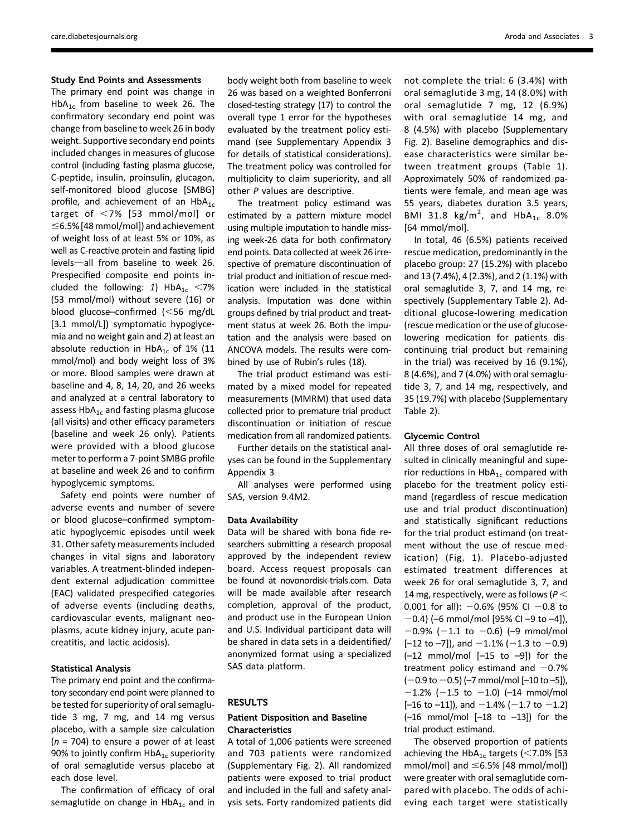## Study End Points and Assessments

The primary end point was change in  $HbA_{1c}$  from baseline to week 26. The confirmatory secondary end point was change from baseline to week 26 in body weight. Supportive secondary end points included changes in measures of glucose control (including fasting plasma glucose, C-peptide, insulin, proinsulin, glucagon, self-monitored blood glucose [SMBG] profile, and achievement of an  $HbA_{1c}$ target of  $<$ 7% [53 mmol/mol] or  $\leq$ 6.5% [48 mmol/mol]) and achievement of weight loss of at least 5% or 10%, as well as C-reactive protein and fasting lipid levels-all from baseline to week 26. Prespecified composite end points included the following: 1)  $HbA_{1c}$  <7% (53 mmol/mol) without severe (16) or blood glucose–confirmed  $\leq 56$  mg/dL [3.1 mmol/L]) symptomatic hypoglycemia and no weight gain and 2) at least an absolute reduction in  $HbA_{1c}$  of 1% (11 mmol/mol) and body weight loss of 3% or more. Blood samples were drawn at baseline and 4, 8, 14, 20, and 26 weeks and analyzed at a central laboratory to assess  $HbA_{1c}$  and fasting plasma glucose (all visits) and other efficacy parameters (baseline and week 26 only). Patients were provided with a blood glucose meter to perform a 7-point SMBG profile at baseline and week 26 and to confirm hypoglycemic symptoms.

Safety end points were number of adverse events and number of severe or blood glucose–confirmed symptomatic hypoglycemic episodes until week 31. Other safety measurements included changes in vital signs and laboratory variables. A treatment-blinded independent external adjudication committee (EAC) validated prespecified categories of adverse events (including deaths, cardiovascular events, malignant neoplasms, acute kidney injury, acute pancreatitis, and lactic acidosis).

# Statistical Analysis

The primary end point and the confirmatory secondary end point were planned to be tested for superiority of oral semaglutide 3 mg, 7 mg, and 14 mg versus placebo, with a sample size calculation  $(n = 704)$  to ensure a power of at least 90% to jointly confirm  $HbA_{1c}$  superiority of oral semaglutide versus placebo at each dose level.

The confirmation of efficacy of oral semaglutide on change in  $HbA_{1c}$  and in

body weight both from baseline to week 26 was based on a weighted Bonferroni closed-testing strategy (17) to control the overall type 1 error for the hypotheses evaluated by the treatment policy estimand (see [Supplementary Appendix 3](http://care.diabetesjournals.org/lookup/suppl/doi:10.2337/dc19-0749/-/DC1) for details of statistical considerations). The treatment policy was controlled for multiplicity to claim superiority, and all other P values are descriptive.

The treatment policy estimand was estimated by a pattern mixture model using multiple imputation to handle missing week-26 data for both confirmatory end points. Data collected at week 26 irrespective of premature discontinuation of trial product and initiation of rescue medication were included in the statistical analysis. Imputation was done within groups defined by trial product and treatment status at week 26. Both the imputation and the analysis were based on ANCOVA models. The results were combined by use of Rubin's rules (18).

The trial product estimand was estimated by a mixed model for repeated measurements (MMRM) that used data collected prior to premature trial product discontinuation or initiation of rescue medication from all randomized patients.

Further details on the statistical analyses can be found in the [Supplementary](http://care.diabetesjournals.org/lookup/suppl/doi:10.2337/dc19-0749/-/DC1) [Appendix 3](http://care.diabetesjournals.org/lookup/suppl/doi:10.2337/dc19-0749/-/DC1)

All analyses were performed using SAS, version 9.4M2.

## Data Availability

Data will be shared with bona fide researchers submitting a research proposal approved by the independent review board. Access request proposals can be found at novonordisk-trials.com. Data will be made available after research completion, approval of the product, and product use in the European Union and U.S. Individual participant data will be shared in data sets in a deidentified/ anonymized format using a specialized SAS data platform.

## **RESULTS**

## Patient Disposition and Baseline Characteristics

A total of 1,006 patients were screened and 703 patients were randomized [\(Supplementary Fig. 2](http://care.diabetesjournals.org/lookup/suppl/doi:10.2337/dc19-0749/-/DC1)). All randomized patients were exposed to trial product and included in the full and safety analysis sets. Forty randomized patients did

not complete the trial: 6 (3.4%) with oral semaglutide 3 mg, 14 (8.0%) with oral semaglutide 7 mg, 12 (6.9%) with oral semaglutide 14 mg, and 8 (4.5%) with placebo ([Supplementary](http://care.diabetesjournals.org/lookup/suppl/doi:10.2337/dc19-0749/-/DC1) [Fig. 2\)](http://care.diabetesjournals.org/lookup/suppl/doi:10.2337/dc19-0749/-/DC1). Baseline demographics and disease characteristics were similar between treatment groups (Table 1). Approximately 50% of randomized patients were female, and mean age was 55 years, diabetes duration 3.5 years, BMI 31.8  $\text{kg/m}^2$ , and  $\text{HbA}_{1c}$  8.0% [64 mmol/mol].

In total, 46 (6.5%) patients received rescue medication, predominantly in the placebo group: 27 (15.2%) with placebo and 13 (7.4%), 4 (2.3%), and 2 (1.1%) with oral semaglutide 3, 7, and 14 mg, respectively ([Supplementary Table 2\)](http://care.diabetesjournals.org/lookup/suppl/doi:10.2337/dc19-0749/-/DC1). Additional glucose-lowering medication (rescue medication or the use of glucoselowering medication for patients discontinuing trial product but remaining in the trial) was received by 16 (9.1%), 8 (4.6%), and 7 (4.0%) with oral semaglutide 3, 7, and 14 mg, respectively, and 35 (19.7%) with placebo ([Supplementary](http://care.diabetesjournals.org/lookup/suppl/doi:10.2337/dc19-0749/-/DC1) [Table 2](http://care.diabetesjournals.org/lookup/suppl/doi:10.2337/dc19-0749/-/DC1)).

## Glycemic Control

All three doses of oral semaglutide resulted in clinically meaningful and superior reductions in  $HbA_{1c}$  compared with placebo for the treatment policy estimand (regardless of rescue medication use and trial product discontinuation) and statistically significant reductions for the trial product estimand (on treatment without the use of rescue medication) (Fig. 1). Placebo-adjusted estimated treatment differences at week 26 for oral semaglutide 3, 7, and 14 mg, respectively, were as follows ( $P <$ 0.001 for all):  $-0.6%$  (95% CI  $-0.8$  to  $-0.4$ ) (–6 mmol/mol [95% CI –9 to –4]),  $-0.9\%$  (-1.1 to -0.6) (-9 mmol/mol  $[-12$  to  $-7]$ ), and  $-1.1\%$  ( $-1.3$  to  $-0.9$ )  $(-12 \text{ mmol/mol} [-15 \text{ to } -9])$  for the treatment policy estimand and  $-0.7%$  $(-0.9$  to  $-0.5)$  (-7 mmol/mol [-10 to -5]),  $-1.2\%$  (-1.5 to -1.0) (-14 mmol/mol  $[-16$  to  $-11]$ ), and  $-1.4\%$  (-1.7 to -1.2)  $(-16 \text{ mmol/mol} [-18 \text{ to } -13])$  for the trial product estimand.

The observed proportion of patients achieving the HbA<sub>1c</sub> targets (<7.0% [53 mmol/mol] and  $\leq$ 6.5% [48 mmol/mol]) were greater with oral semaglutide compared with placebo. The odds of achieving each target were statistically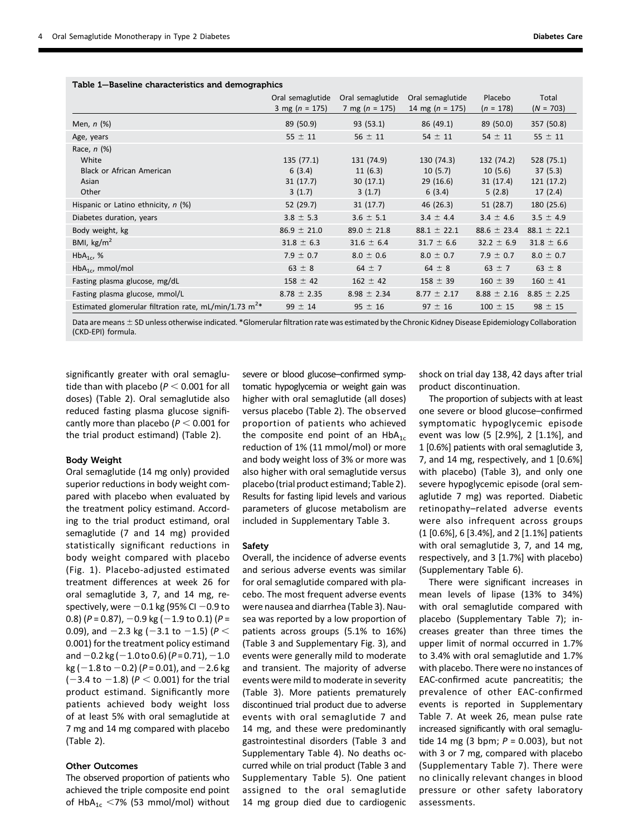|                                                            | Oral semaglutide<br>3 mg ( $n = 175$ ) | Oral semaglutide<br>7 mg ( $n = 175$ ) | Oral semaglutide<br>14 mg ( $n = 175$ ) | Placebo<br>$(n = 178)$ | Total<br>$(N = 703)$ |
|------------------------------------------------------------|----------------------------------------|----------------------------------------|-----------------------------------------|------------------------|----------------------|
| Men, $n$ $(\%)$                                            | 89 (50.9)                              | 93(53.1)                               | 86 (49.1)                               | 89 (50.0)              | 357 (50.8)           |
| Age, years                                                 | $55 \pm 11$                            | $56 \pm 11$                            | $54 \pm 11$                             | $54 \pm 11$            | $55 \pm 11$          |
| Race, $n$ $(\%)$                                           |                                        |                                        |                                         |                        |                      |
| White                                                      | 135(77.1)                              | 131 (74.9)                             | 130 (74.3)                              | 132 (74.2)             | 528 (75.1)           |
| <b>Black or African American</b>                           | 6(3.4)                                 | 11(6.3)                                | 10(5.7)                                 | 10(5.6)                | 37(5.3)              |
| Asian                                                      | 31(17.7)                               | 30(17.1)                               | 29(16.6)                                | 31(17.4)               | 121(17.2)            |
| Other                                                      | 3(1.7)                                 | 3(1.7)                                 | 6(3.4)                                  | 5(2.8)                 | 17(2.4)              |
| Hispanic or Latino ethnicity, n (%)                        | 52 (29.7)                              | 31(17.7)                               | 46 (26.3)                               | 51(28.7)               | 180 (25.6)           |
| Diabetes duration, years                                   | $3.8 \pm 5.3$                          | $3.6 \pm 5.1$                          | $3.4 \pm 4.4$                           | $3.4 \pm 4.6$          | $3.5 \pm 4.9$        |
| Body weight, kg                                            | $86.9 \pm 21.0$                        | $89.0 \pm 21.8$                        | $88.1 \pm 22.1$                         | $88.6 \pm 23.4$        | $88.1 \pm 22.1$      |
| BMI, $\text{kg/m}^2$                                       | $31.8 \pm 6.3$                         | $31.6 \pm 6.4$                         | $31.7 \pm 6.6$                          | $32.2 \pm 6.9$         | $31.8 \pm 6.6$       |
| $HbA_{1c}$ , %                                             | $7.9 \pm 0.7$                          | $8.0 \pm 0.6$                          | $8.0 \pm 0.7$                           | $7.9 \pm 0.7$          | $8.0 \pm 0.7$        |
| $HbA_{1c}$ , mmol/mol                                      | $63 \pm 8$                             | $64 \pm 7$                             | 64 $\pm$ 8                              | $63 \pm 7$             | $63 \pm 8$           |
| Fasting plasma glucose, mg/dL                              | $158 \pm 42$                           | $162 \pm 42$                           | $158 \pm 39$                            | $160 \pm 39$           | $160 \pm 41$         |
| Fasting plasma glucose, mmol/L                             | $8.78 \pm 2.35$                        | $8.98 \pm 2.34$                        | $8.77 \pm 2.17$                         | $8.88 \pm 2.16$        | $8.85 \pm 2.25$      |
| Estimated glomerular filtration rate, mL/min/1.73 $m^{2*}$ | $99 \pm 14$                            | $95 \pm 16$                            | $97 \pm 16$                             | $100 \pm 15$           | $98 \pm 15$          |

# Table 1—Baseline characteristics and demographics

Data are means  $\pm$  SD unless otherwise indicated. \*Glomerular filtration rate was estimated by the Chronic Kidney Disease Epidemiology Collaboration (CKD-EPI) formula.

significantly greater with oral semaglutide than with placebo ( $P < 0.001$  for all doses) (Table 2). Oral semaglutide also reduced fasting plasma glucose significantly more than placebo ( $P < 0.001$  for the trial product estimand) (Table 2).

## Body Weight

Oral semaglutide (14 mg only) provided superior reductions in body weight compared with placebo when evaluated by the treatment policy estimand. According to the trial product estimand, oral semaglutide (7 and 14 mg) provided statistically significant reductions in body weight compared with placebo (Fig. 1). Placebo-adjusted estimated treatment differences at week 26 for oral semaglutide 3, 7, and 14 mg, respectively, were  $-0.1$  kg (95% CI  $-0.9$  to 0.8) ( $P = 0.87$ ),  $-0.9$  kg ( $-1.9$  to 0.1) ( $P =$ 0.09), and  $-2.3$  kg ( $-3.1$  to  $-1.5$ ) ( $P <$ 0.001) for the treatment policy estimand and  $-0.2$  kg ( $-1.0$  to 0.6) (P = 0.71),  $-1.0$  $kg (-1.8 to -0.2) (P = 0.01)$ , and  $-2.6$  kg  $(-3.4 \text{ to } -1.8)$  ( $P < 0.001$ ) for the trial product estimand. Significantly more patients achieved body weight loss of at least 5% with oral semaglutide at 7 mg and 14 mg compared with placebo (Table 2).

# Other Outcomes

The observed proportion of patients who achieved the triple composite end point of HbA<sub>1c</sub> <7% (53 mmol/mol) without

severe or blood glucose–confirmed symptomatic hypoglycemia or weight gain was higher with oral semaglutide (all doses) versus placebo (Table 2). The observed proportion of patients who achieved the composite end point of an  $HbA_{1c}$ reduction of 1% (11 mmol/mol) or more and body weight loss of 3% or more was also higher with oral semaglutide versus placebo (trial product estimand; Table 2). Results for fasting lipid levels and various parameters of glucose metabolism are included in [Supplementary Table 3.](http://care.diabetesjournals.org/lookup/suppl/doi:10.2337/dc19-0749/-/DC1)

#### Safety

Overall, the incidence of adverse events and serious adverse events was similar for oral semaglutide compared with placebo. The most frequent adverse events were nausea and diarrhea (Table 3). Nausea was reported by a low proportion of patients across groups (5.1% to 16%) (Table 3 and [Supplementary Fig. 3\)](http://care.diabetesjournals.org/lookup/suppl/doi:10.2337/dc19-0749/-/DC1), and events were generally mild to moderate and transient. The majority of adverse events were mild to moderate in severity (Table 3). More patients prematurely discontinued trial product due to adverse events with oral semaglutide 7 and 14 mg, and these were predominantly gastrointestinal disorders (Table 3 and [Supplementary Table 4](http://care.diabetesjournals.org/lookup/suppl/doi:10.2337/dc19-0749/-/DC1)). No deaths occurred while on trial product (Table 3 and [Supplementary Table 5\)](http://care.diabetesjournals.org/lookup/suppl/doi:10.2337/dc19-0749/-/DC1). One patient assigned to the oral semaglutide 14 mg group died due to cardiogenic

shock on trial day 138, 42 days after trial product discontinuation.

The proportion of subjects with at least one severe or blood glucose–confirmed symptomatic hypoglycemic episode event was low (5 [2.9%], 2 [1.1%], and 1 [0.6%] patients with oral semaglutide 3, 7, and 14 mg, respectively, and 1 [0.6%] with placebo) (Table 3), and only one severe hypoglycemic episode (oral semaglutide 7 mg) was reported. Diabetic retinopathy–related adverse events were also infrequent across groups (1 [0.6%], 6 [3.4%], and 2 [1.1%] patients with oral semaglutide 3, 7, and 14 mg, respectively, and 3 [1.7%] with placebo) [\(Supplementary Table 6](http://care.diabetesjournals.org/lookup/suppl/doi:10.2337/dc19-0749/-/DC1)).

There were significant increases in mean levels of lipase (13% to 34%) with oral semaglutide compared with placebo ([Supplementary Table 7](http://care.diabetesjournals.org/lookup/suppl/doi:10.2337/dc19-0749/-/DC1)); increases greater than three times the upper limit of normal occurred in 1.7% to 3.4% with oral semaglutide and 1.7% with placebo. There were no instances of EAC-confirmed acute pancreatitis; the prevalence of other EAC-confirmed events is reported in [Supplementary](http://care.diabetesjournals.org/lookup/suppl/doi:10.2337/dc19-0749/-/DC1) [Table 7.](http://care.diabetesjournals.org/lookup/suppl/doi:10.2337/dc19-0749/-/DC1) At week 26, mean pulse rate increased significantly with oral semaglutide 14 mg (3 bpm;  $P = 0.003$ ), but not with 3 or 7 mg, compared with placebo ([Supplementary Table 7\)](http://care.diabetesjournals.org/lookup/suppl/doi:10.2337/dc19-0749/-/DC1). There were no clinically relevant changes in blood pressure or other safety laboratory assessments.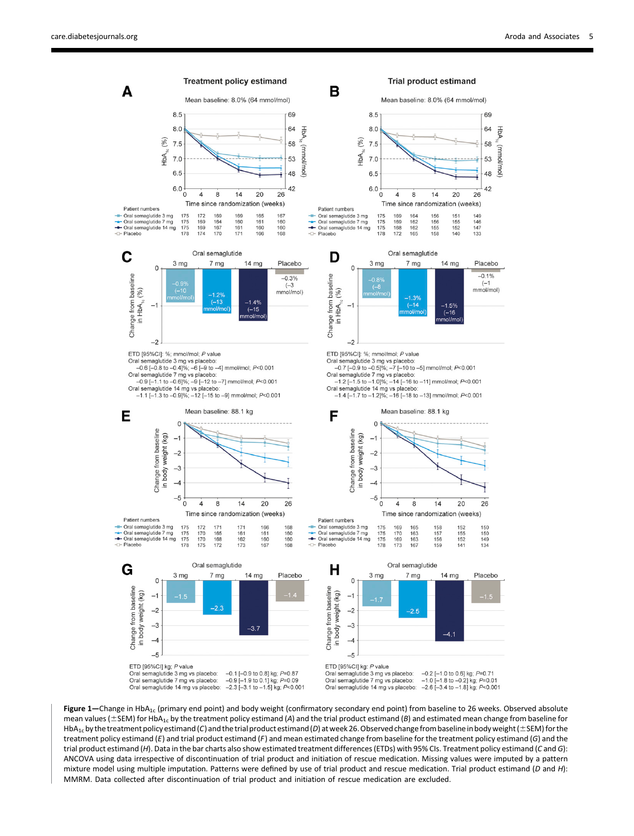

Figure 1—Change in HbA<sub>1c</sub> (primary end point) and body weight (confirmatory secondary end point) from baseline to 26 weeks. Observed absolute mean values ( $\pm$ SEM) for HbA<sub>1c</sub> by the treatment policy estimand (A) and the trial product estimand (B) and estimated mean change from baseline for HbA<sub>1c</sub> by the treatment policy estimand (C) and the trial product estimand (D) at week 26. Observed change from baseline in body weight ( $\pm$ SEM) for the treatment policy estimand (E) and trial product estimand (F) and mean estimated change from baseline for the treatment policy estimand (G) and the trial product estimand (H). Data in the bar charts also show estimated treatment differences (ETDs) with 95% CIs. Treatment policy estimand (C and G): ANCOVA using data irrespective of discontinuation of trial product and initiation of rescue medication. Missing values were imputed by a pattern mixture model using multiple imputation. Patterns were defined by use of trial product and rescue medication. Trial product estimand (D and H): MMRM. Data collected after discontinuation of trial product and initiation of rescue medication are excluded.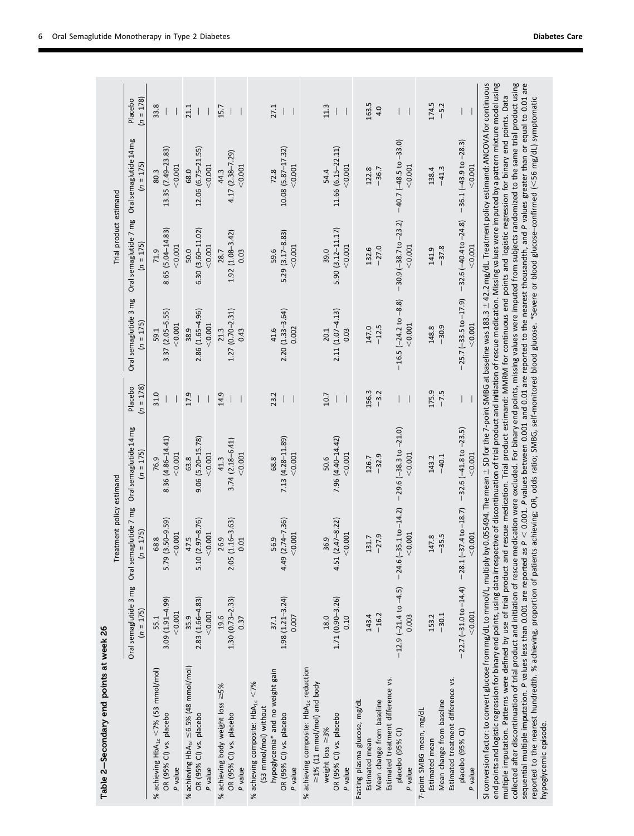| Table 2-Secondary end points at week 26                                                                                                                                                                                                                                                                                                                                                                                                                                                                                                                                                                                                                                                                                                                                                                                                                                                                                                                                                                                                                                                                                                                                  |                                                                                                  |                                                        |                                                                                                                                      |                        |                                                            |                                                        |                                                        |                        |
|--------------------------------------------------------------------------------------------------------------------------------------------------------------------------------------------------------------------------------------------------------------------------------------------------------------------------------------------------------------------------------------------------------------------------------------------------------------------------------------------------------------------------------------------------------------------------------------------------------------------------------------------------------------------------------------------------------------------------------------------------------------------------------------------------------------------------------------------------------------------------------------------------------------------------------------------------------------------------------------------------------------------------------------------------------------------------------------------------------------------------------------------------------------------------|--------------------------------------------------------------------------------------------------|--------------------------------------------------------|--------------------------------------------------------------------------------------------------------------------------------------|------------------------|------------------------------------------------------------|--------------------------------------------------------|--------------------------------------------------------|------------------------|
|                                                                                                                                                                                                                                                                                                                                                                                                                                                                                                                                                                                                                                                                                                                                                                                                                                                                                                                                                                                                                                                                                                                                                                          |                                                                                                  | Treatment policy estimand                              |                                                                                                                                      |                        |                                                            | Trial product estimand                                 |                                                        |                        |
|                                                                                                                                                                                                                                                                                                                                                                                                                                                                                                                                                                                                                                                                                                                                                                                                                                                                                                                                                                                                                                                                                                                                                                          | Oral semaglutide 3 mg<br>$(n = 175)$                                                             | Oral semaglutide 7 mg<br>$(n = 175)$                   | Oral semaglutide 14 mg<br>$(n = 175)$                                                                                                | $(n = 178)$<br>Placebo | Oral semaglutide 3 mg<br>$(n = 175)$                       | Oral semaglutide 7 mg<br>$(n = 175)$                   | Oral semaglutide 14 mg<br>$(n = 175)$                  | $(n = 178)$<br>Placebo |
| % achieving $HbA_{1c} < 7%$ (53 mmol/mol)<br>OR (95% CI) vs. placebo<br>P value                                                                                                                                                                                                                                                                                                                                                                                                                                                                                                                                                                                                                                                                                                                                                                                                                                                                                                                                                                                                                                                                                          | 3.09 (1.91-4.99)<br>< 0.001<br>55.1                                                              | $(3.50 - 9.59)$<br>< 0.001<br>68.8<br>5.79             | 8.36 (4.86-14.41)<br>< 0.001<br>76.9                                                                                                 | 31.0                   | 3.37 (2.05-5.55)<br>< 0.001<br>59.1                        | 8.65 (5.04-14.83)<br>< 0.001<br>71.9                   | 13.35 (7.49-23.83)<br>< 0.001<br>80.3                  | 33.8                   |
| % achieving $HbA_{1c} \leq 6.5\%$ (48 mmol/mol)<br>OR (95% CI) vs. placebo<br>P value                                                                                                                                                                                                                                                                                                                                                                                                                                                                                                                                                                                                                                                                                                                                                                                                                                                                                                                                                                                                                                                                                    | $2.83(1.66 - 4.83)$<br>< 0.001<br>35.9                                                           | $(2.97 - 8.76)$<br>< 0.001<br>47.5<br>5.10             | 9.06 (5.20-15.78)<br>< 0.001<br>63.8                                                                                                 | 17.9                   | 2.86 (1.65-4.96)<br>< 0.001<br>38.9                        | $6.30(3.60 - 11.02)$<br>< 0.001<br>50.0                | 12.06 (6.75-21.55)<br>< 0.001<br>68.0                  | 21.1                   |
| % achieving body weight loss ≥5%<br>OR (95% CI) vs. placebo<br>P value                                                                                                                                                                                                                                                                                                                                                                                                                                                                                                                                                                                                                                                                                                                                                                                                                                                                                                                                                                                                                                                                                                   | $1.30(0.73 - 2.33)$<br>19.6<br>0.37                                                              | $(1.16 - 3.63)$<br>26.9<br>0.01<br>2.05                | $3.74(2.18 - 6.41)$<br>< 0.001<br>41.3                                                                                               | 14.9                   | $1.27(0.70 - 2.31)$<br>0.43<br>21.3                        | $1.92(1.08 - 3.42)$<br>0.03<br>28.7                    | $4.17(2.38 - 7.29)$<br>< 0.001<br>44.3                 | 15.7                   |
| hypoglycemia* and no weight gain<br>% achieving composite: $HbA_{1c} < 7%$<br>(53 mmol/mol) without<br>OR (95% CI) vs. placebo<br>P value                                                                                                                                                                                                                                                                                                                                                                                                                                                                                                                                                                                                                                                                                                                                                                                                                                                                                                                                                                                                                                | $1.98(1.21 - 3.24)$<br>0.007<br>37.1                                                             | $(2.74 - 7.36)$<br>< 0.001<br>56.9<br>4.49             | 7.13 (4.28-11.89)<br>< 0.001<br>68.8                                                                                                 | 23.2                   | 2.20 (1.33-3.64)<br>0.002<br>41.6                          | 5.29 (3.17-8.83)<br>< 0.001<br>59.6                    | 10.08 (5.87-17.32)<br>< 0.001<br>72.8                  | 27.1                   |
| % achieving composite: HbA <sub>1c</sub> reduction<br>$\geq$ 1% (11 mmol/mol) and body<br>OR (95% CI) vs. placebo<br>weight loss $\geq$ 3%<br>P value                                                                                                                                                                                                                                                                                                                                                                                                                                                                                                                                                                                                                                                                                                                                                                                                                                                                                                                                                                                                                    | $1.71(0.90 - 3.26)$<br>0.10<br>18.0                                                              | $(2.47 - 8.22)$<br>< 0.001<br>36.9<br>4.51             | 7.96 (4.40-14.42)<br>< 0.001<br>50.6                                                                                                 | 10.7                   | 2.11 (1.07-4.13)<br>20.1<br>0.03                           | 5.90 (3.12-11.17)<br>< 0.001<br>39.0                   | 11.66 (6.15-22.11)<br>< 0.001<br>54.4                  | 11.3                   |
| Estimated treatment difference vs.<br>Mean change from baseline<br>Fasting plasma glucose, mg/dL<br>placebo (95% CI)<br>Estimated mean<br>P value                                                                                                                                                                                                                                                                                                                                                                                                                                                                                                                                                                                                                                                                                                                                                                                                                                                                                                                                                                                                                        | $-12.9(-21.4 to -4.5)$<br>$-16.2$<br>143.4<br>0.003                                              | $-24.6(-35.1 to -14.2)$<br>< 0.001<br>$-27.9$<br>131.7 | $-29.6$ $(-38.3$ to $-21.0)$<br>< 0.001<br>$-32.9$<br>126.7                                                                          | 156.3<br>$-3.2$        | $-16.5$ $(-24.2$ to $-8.8)$<br>< 0.001<br>$-12.5$<br>147.0 | $-30.9(-38.7 to -23.2)$<br>< 0.001<br>$-27.0$<br>132.6 | $-40.7(-48.5 to -33.0)$<br>< 0.001<br>$-36.7$<br>122.8 | 163.5<br>4.0           |
| Estimated treatment difference vs.<br>Mean change from baseline<br>7-point SMBG mean, mg/dL<br>placebo (95% CI)<br>Estimated mean<br>P value                                                                                                                                                                                                                                                                                                                                                                                                                                                                                                                                                                                                                                                                                                                                                                                                                                                                                                                                                                                                                             | $-22.7(-31.0 \text{ to } -14.4)$ $-28.1(-37.4 \text{ to } -18.7)$<br>< 0.001<br>$-30.1$<br>153.2 | < 0.001<br>$-35.5$<br>147.8                            | $-32.6(-41.8 to -23.5)$<br>< 0.001<br>$-40.1$<br>143.2                                                                               | 175.9<br>$-7.5$<br>I   | $-25.7(-33.5 to -17.9)$<br>< 0.001<br>$-30.9$<br>148.8     | $-32.6(-40.4 to -24.8)$<br>< 0.001<br>$-37.8$<br>141.9 | $-36.1(-43.9 to -28.3)$<br>< 0.001<br>$-41.3$<br>138.4 | 174.5<br>$-5.2$        |
| end points and logistic regression for binary end points, using data irrespective of discontinuation of trial product and initiation of rescue medication. Missing values were imputed by a pattern mixture model using<br>collected after discontinuation of trial product and initiation of rescue medication were excluded. For binary end points, missing values were imputed from subjects randomized to the same trial product using<br>SI conversion factor: to convert glucose from mg/dL to mmol/L, multiply by 0.055494. The mean ± SD for the 7-point SMBG at baseline was 183.3 ± 42.2 mg/dL. Treatment policy estimand: ANCOVA for continuous<br>multiple imputation. Patterns were defined by use of trial product and rescue medication. Trial product estimand: MMRM for continuous end points and logistic regression for binary end points. Data<br>reported to the nearest hundredth. % achieving, proportion of patients achieving; OR, odds ratio; SMBG, self-monitored blood glucose. *Severe or blood glucose-confirmed (<56 mg/dL) symptomatic<br>sequential multiple imputation. P values less than 0.001 are reported<br>hypoglycemic episode. |                                                                                                  |                                                        | as P < 0.001. P values between 0.001 and 0.01 are reported to the nearest thousandth, and P values greater than or equal to 0.01 are |                        |                                                            |                                                        |                                                        |                        |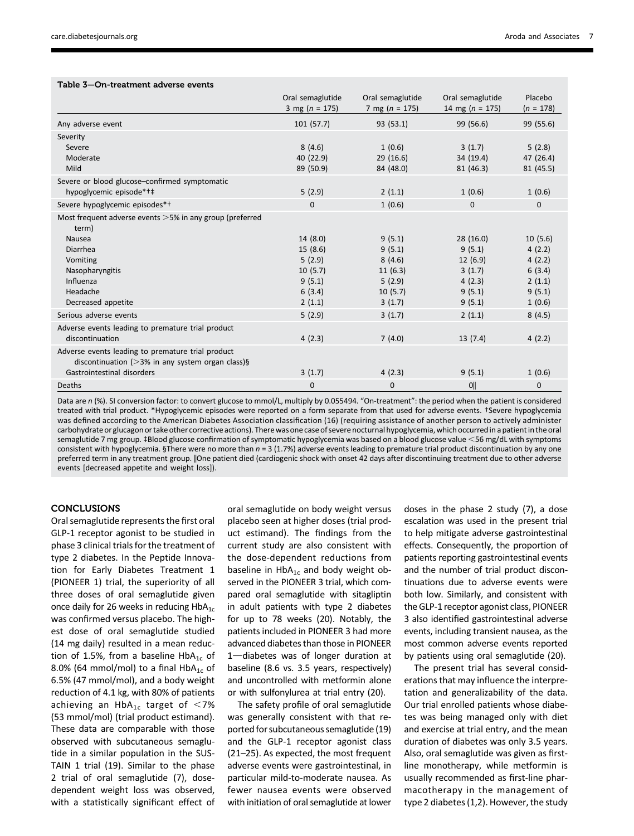| Table 3-On-treatment adverse events |  |  |
|-------------------------------------|--|--|
|-------------------------------------|--|--|

|                                                                                                                                                                        | Oral semaglutide<br>3 mg ( $n = 175$ )                                | Oral semaglutide<br>7 mg $(n = 175)$                                 | Oral semaglutide<br>14 mg ( $n = 175$ )                               | Placebo<br>$(n = 178)$                                              |
|------------------------------------------------------------------------------------------------------------------------------------------------------------------------|-----------------------------------------------------------------------|----------------------------------------------------------------------|-----------------------------------------------------------------------|---------------------------------------------------------------------|
| Any adverse event                                                                                                                                                      | 101(57.7)                                                             | 93 (53.1)                                                            | 99 (56.6)                                                             | 99 (55.6)                                                           |
| Severity<br>Severe<br>Moderate<br>Mild                                                                                                                                 | 8(4.6)<br>40 (22.9)<br>89 (50.9)                                      | 1(0.6)<br>29(16.6)<br>84 (48.0)                                      | 3(1.7)<br>34(19.4)<br>81 (46.3)                                       | 5(2.8)<br>47 (26.4)<br>81 (45.5)                                    |
| Severe or blood glucose-confirmed symptomatic<br>hypoglycemic episode*†‡                                                                                               | 5(2.9)                                                                | 2(1.1)                                                               | 1(0.6)                                                                | 1(0.6)                                                              |
| Severe hypoglycemic episodes*†                                                                                                                                         | $\Omega$                                                              | 1(0.6)                                                               | $\mathbf{0}$                                                          | $\mathbf 0$                                                         |
| Most frequent adverse events > 5% in any group (preferred<br>term)<br>Nausea<br>Diarrhea<br>Vomiting<br>Nasopharyngitis<br>Influenza<br>Headache<br>Decreased appetite | 14(8.0)<br>15(8.6)<br>5(2.9)<br>10(5.7)<br>9(5.1)<br>6(3.4)<br>2(1.1) | 9(5.1)<br>9(5.1)<br>8(4.6)<br>11(6.3)<br>5(2.9)<br>10(5.7)<br>3(1.7) | 28(16.0)<br>9(5.1)<br>12(6.9)<br>3(1.7)<br>4(2.3)<br>9(5.1)<br>9(5.1) | 10(5.6)<br>4(2.2)<br>4(2.2)<br>6(3.4)<br>2(1.1)<br>9(5.1)<br>1(0.6) |
| Serious adverse events                                                                                                                                                 | 5(2.9)                                                                | 3(1.7)                                                               | 2(1.1)                                                                | 8(4.5)                                                              |
| Adverse events leading to premature trial product<br>discontinuation                                                                                                   | 4(2.3)                                                                | 7(4.0)                                                               | 13(7.4)                                                               | 4(2.2)                                                              |
| Adverse events leading to premature trial product<br>discontinuation ( $>3\%$ in any system organ class)§<br>Gastrointestinal disorders                                | 3(1.7)                                                                | 4(2.3)                                                               | 9(5.1)                                                                | 1(0.6)                                                              |
| Deaths                                                                                                                                                                 | $\mathbf 0$                                                           | $\mathbf 0$                                                          | <b>O</b>                                                              | $\mathbf 0$                                                         |

Data are n (%). SI conversion factor: to convert glucose to mmol/L, multiply by 0.055494. "On-treatment": the period when the patient is considered treated with trial product. \*Hypoglycemic episodes were reported on a form separate from that used for adverse events. †Severe hypoglycemia was defined according to the American Diabetes Association classification (16) (requiring assistance of another person to actively administer carbohydrate or glucagon or take other corrective actions). There was one case of severe nocturnal hypoglycemia, which occurred in a patient in the oral semaglutide 7 mg group. ‡Blood glucose confirmation of symptomatic hypoglycemia was based on a blood glucose value <56 mg/dL with symptoms consistent with hypoglycemia. §There were no more than  $n = 3 (1.7%)$  adverse events leading to premature trial product discontinuation by any one preferred term in any treatment group. ||One patient died (cardiogenic shock with onset 42 days after discontinuing treatment due to other adverse events [decreased appetite and weight loss]).

## **CONCLUSIONS**

Oral semaglutide represents the first oral GLP-1 receptor agonist to be studied in phase 3 clinical trials for the treatment of type 2 diabetes. In the Peptide Innovation for Early Diabetes Treatment 1 (PIONEER 1) trial, the superiority of all three doses of oral semaglutide given once daily for 26 weeks in reducing  $HbA_{1c}$ was confirmed versus placebo. The highest dose of oral semaglutide studied (14 mg daily) resulted in a mean reduction of 1.5%, from a baseline  $HbA_{1c}$  of 8.0% (64 mmol/mol) to a final  $HbA_{1c}$  of 6.5% (47 mmol/mol), and a body weight reduction of 4.1 kg, with 80% of patients achieving an  $HbA_{1c}$  target of <7% (53 mmol/mol) (trial product estimand). These data are comparable with those observed with subcutaneous semaglutide in a similar population in the SUS-TAIN 1 trial (19). Similar to the phase 2 trial of oral semaglutide (7), dosedependent weight loss was observed, with a statistically significant effect of

oral semaglutide on body weight versus placebo seen at higher doses (trial product estimand). The findings from the current study are also consistent with the dose-dependent reductions from baseline in  $HbA_{1c}$  and body weight observed in the PIONEER 3 trial, which compared oral semaglutide with sitagliptin in adult patients with type 2 diabetes for up to 78 weeks (20). Notably, the patients included in PIONEER 3 had more advanced diabetes than those in PIONEER  $1$ -diabetes was of longer duration at baseline (8.6 vs. 3.5 years, respectively) and uncontrolled with metformin alone or with sulfonylurea at trial entry (20).

The safety profile of oral semaglutide was generally consistent with that reported for subcutaneous semaglutide (19) and the GLP-1 receptor agonist class (21–25). As expected, the most frequent adverse events were gastrointestinal, in particular mild-to-moderate nausea. As fewer nausea events were observed with initiation of oral semaglutide at lower doses in the phase 2 study (7), a dose escalation was used in the present trial to help mitigate adverse gastrointestinal effects. Consequently, the proportion of patients reporting gastrointestinal events and the number of trial product discontinuations due to adverse events were both low. Similarly, and consistent with the GLP-1 receptor agonist class, PIONEER 3 also identified gastrointestinal adverse events, including transient nausea, as the most common adverse events reported by patients using oral semaglutide (20).

The present trial has several considerations that may influence the interpretation and generalizability of the data. Our trial enrolled patients whose diabetes was being managed only with diet and exercise at trial entry, and the mean duration of diabetes was only 3.5 years. Also, oral semaglutide was given as firstline monotherapy, while metformin is usually recommended as first-line pharmacotherapy in the management of type 2 diabetes (1,2). However, the study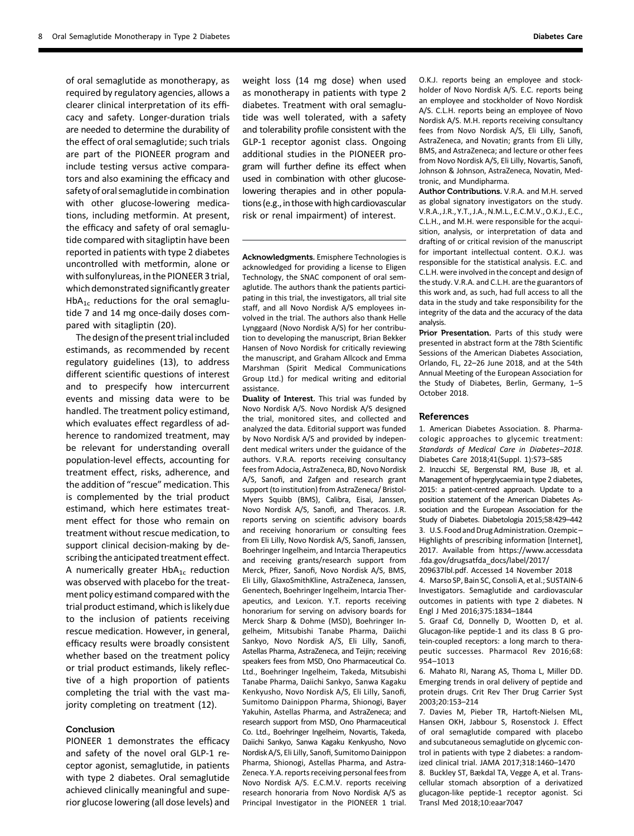of oral semaglutide as monotherapy, as required by regulatory agencies, allows a clearer clinical interpretation of its efficacy and safety. Longer-duration trials are needed to determine the durability of the effect of oral semaglutide; such trials are part of the PIONEER program and include testing versus active comparators and also examining the efficacy and safety of oral semaglutide in combination with other glucose-lowering medications, including metformin. At present, the efficacy and safety of oral semaglutide compared with sitagliptin have been reported in patients with type 2 diabetes uncontrolled with metformin, alone or with sulfonylureas, in the PIONEER 3 trial, which demonstrated significantly greater HbA<sub>1c</sub> reductions for the oral semaglutide 7 and 14 mg once-daily doses compared with sitagliptin (20).

The design of the present trial included estimands, as recommended by recent regulatory guidelines (13), to address different scientific questions of interest and to prespecify how intercurrent events and missing data were to be handled. The treatment policy estimand, which evaluates effect regardless of adherence to randomized treatment, may be relevant for understanding overall population-level effects, accounting for treatment effect, risks, adherence, and the addition of "rescue" medication. This is complemented by the trial product estimand, which here estimates treatment effect for those who remain on treatment without rescue medication, to support clinical decision-making by describing the anticipated treatment effect. A numerically greater  $HbA_{1c}$  reduction was observed with placebo for the treatment policy estimand compared with the trial product estimand, which is likely due to the inclusion of patients receiving rescue medication. However, in general, efficacy results were broadly consistent whether based on the treatment policy or trial product estimands, likely reflective of a high proportion of patients completing the trial with the vast majority completing on treatment (12).

## Conclusion

PIONEER 1 demonstrates the efficacy and safety of the novel oral GLP-1 receptor agonist, semaglutide, in patients with type 2 diabetes. Oral semaglutide achieved clinically meaningful and superior glucose lowering (all dose levels) and

weight loss (14 mg dose) when used as monotherapy in patients with type 2 diabetes. Treatment with oral semaglutide was well tolerated, with a safety and tolerability profile consistent with the GLP-1 receptor agonist class. Ongoing additional studies in the PIONEER program will further define its effect when used in combination with other glucoselowering therapies and in other populations (e.g., in those with high cardiovascular risk or renal impairment) of interest.

Acknowledgments. Emisphere Technologies is acknowledged for providing a license to Eligen Technology, the SNAC component of oral semaglutide. The authors thank the patients participating in this trial, the investigators, all trial site staff, and all Novo Nordisk A/S employees involved in the trial. The authors also thank Helle Lynggaard (Novo Nordisk A/S) for her contribution to developing the manuscript, Brian Bekker Hansen of Novo Nordisk for critically reviewing the manuscript, and Graham Allcock and Emma Marshman (Spirit Medical Communications Group Ltd.) for medical writing and editorial assistance.

Duality of Interest. This trial was funded by Novo Nordisk A/S. Novo Nordisk A/S designed the trial, monitored sites, and collected and analyzed the data. Editorial support was funded by Novo Nordisk A/S and provided by independent medical writers under the guidance of the authors. V.R.A. reports receiving consultancy fees from Adocia, AstraZeneca, BD, Novo Nordisk A/S, Sanofi, and Zafgen and research grant support (to institution) from AstraZeneca/ Bristol-Myers Squibb (BMS), Calibra, Eisai, Janssen, Novo Nordisk A/S, Sanofi, and Theracos. J.R. reports serving on scientific advisory boards and receiving honorarium or consulting fees from Eli Lilly, Novo Nordisk A/S, Sanofi, Janssen, Boehringer Ingelheim, and Intarcia Therapeutics and receiving grants/research support from Merck, Pfizer, Sanofi, Novo Nordisk A/S, BMS, Eli Lilly, GlaxoSmithKline, AstraZeneca, Janssen, Genentech, Boehringer Ingelheim, Intarcia Therapeutics, and Lexicon. Y.T. reports receiving honorarium for serving on advisory boards for Merck Sharp & Dohme (MSD), Boehringer Ingelheim, Mitsubishi Tanabe Pharma, Daiichi Sankyo, Novo Nordisk A/S, Eli Lilly, Sanofi, Astellas Pharma, AstraZeneca, and Teijin; receiving speakers fees from MSD, Ono Pharmaceutical Co. Ltd., Boehringer Ingelheim, Takeda, Mitsubishi Tanabe Pharma, Daiichi Sankyo, Sanwa Kagaku Kenkyusho, Novo Nordisk A/S, Eli Lilly, Sanofi, Sumitomo Dainippon Pharma, Shionogi, Bayer Yakuhin, Astellas Pharma, and AstraZeneca; and research support from MSD, Ono Pharmaceutical Co. Ltd., Boehringer Ingelheim, Novartis, Takeda, Daiichi Sankyo, Sanwa Kagaku Kenkyusho, Novo Nordisk A/S, Eli Lilly, Sanofi, Sumitomo Dainippon Pharma, Shionogi, Astellas Pharma, and Astra-Zeneca. Y.A. reports receiving personal fees from Novo Nordisk A/S. E.C.M.V. reports receiving research honoraria from Novo Nordisk A/S as Principal Investigator in the PIONEER 1 trial.

O.K.J. reports being an employee and stockholder of Novo Nordisk A/S. E.C. reports being an employee and stockholder of Novo Nordisk A/S. C.L.H. reports being an employee of Novo Nordisk A/S. M.H. reports receiving consultancy fees from Novo Nordisk A/S, Eli Lilly, Sanofi, AstraZeneca, and Novatin; grants from Eli Lilly, BMS, and AstraZeneca; and lecture or other fees from Novo Nordisk A/S, Eli Lilly, Novartis, Sanofi, Johnson & Johnson, AstraZeneca, Novatin, Medtronic, and Mundipharma.

Author Contributions. V.R.A. and M.H. served as global signatory investigators on the study. V.R.A., J.R., Y.T., J.A.,N.M.L., E.C.M.V.,O.K.J., E.C., C.L.H., and M.H. were responsible for the acquisition, analysis, or interpretation of data and drafting of or critical revision of the manuscript for important intellectual content. O.K.J. was responsible for the statistical analysis. E.C. and C.L.H. were involved in the concept and design of the study. V.R.A. and C.L.H. are the guarantors of this work and, as such, had full access to all the data in the study and take responsibility for the integrity of the data and the accuracy of the data analysis.

Prior Presentation. Parts of this study were presented in abstract form at the 78th Scientific Sessions of the American Diabetes Association, Orlando, FL, 22–26 June 2018, and at the 54th Annual Meeting of the European Association for the Study of Diabetes, Berlin, Germany, 1–5 October 2018.

#### References

1. American Diabetes Association. 8. Pharmacologic approaches to glycemic treatment: Standards of Medical Care in Diabetes–2018. Diabetes Care 2018;41(Suppl. 1):S73–S85

2. Inzucchi SE, Bergenstal RM, Buse JB, et al. Management of hyperglycaemia in type 2 diabetes, 2015: a patient-centred approach. Update to a position statement of the American Diabetes Association and the European Association for the Study of Diabetes. Diabetologia 2015;58:429–442 3. U.S. Food and Drug Administration. Ozempic-Highlights of prescribing information [Internet], 2017. Available from [https://www.accessdata](https://www.accessdata.fda.gov/drugsatfda_docs/label/2017/209637lbl.pdf) [.fda.gov/drugsatfda\\_docs/label/2017/](https://www.accessdata.fda.gov/drugsatfda_docs/label/2017/209637lbl.pdf)

[209637lbl.pdf.](https://www.accessdata.fda.gov/drugsatfda_docs/label/2017/209637lbl.pdf) Accessed 14 November 2018 4. Marso SP, Bain SC, Consoli A, et al.; SUSTAIN-6 Investigators. Semaglutide and cardiovascular outcomes in patients with type 2 diabetes. N Engl J Med 2016;375:1834–1844

5. Graaf Cd, Donnelly D, Wootten D, et al. Glucagon-like peptide-1 and its class B G protein-coupled receptors: a long march to therapeutic successes. Pharmacol Rev 2016;68: 954–1013

6. Mahato RI, Narang AS, Thoma L, Miller DD. Emerging trends in oral delivery of peptide and protein drugs. Crit Rev Ther Drug Carrier Syst 2003;20:153–214

7. Davies M, Pieber TR, Hartoft-Nielsen ML, Hansen OKH, Jabbour S, Rosenstock J. Effect of oral semaglutide compared with placebo and subcutaneous semaglutide on glycemic control in patients with type 2 diabetes: a randomized clinical trial. JAMA 2017;318:1460–1470

8. Buckley ST, Bækdal TA, Vegge A, et al. Transcellular stomach absorption of a derivatized glucagon-like peptide-1 receptor agonist. Sci Transl Med 2018;10:eaar7047